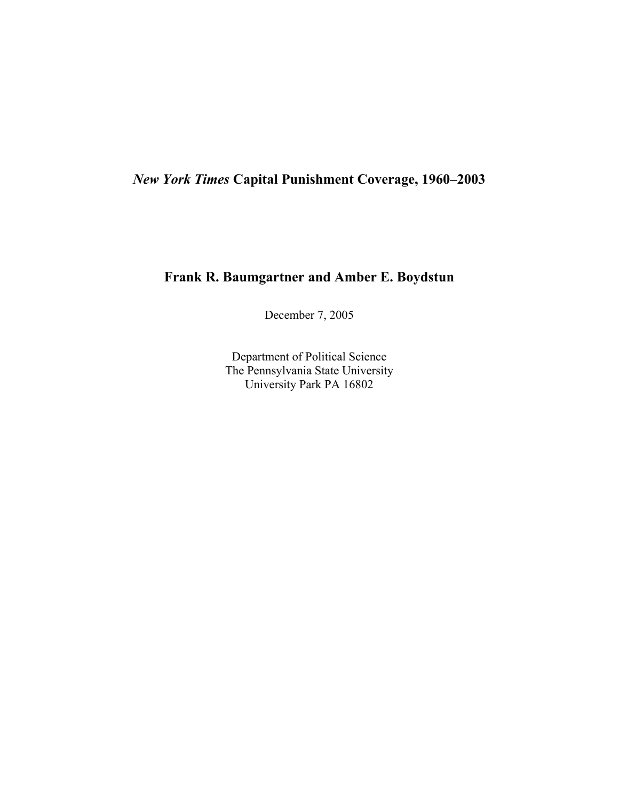# *New York Times* **Capital Punishment Coverage, 1960–2003**

### **Frank R. Baumgartner and Amber E. Boydstun**

December 7, 2005

Department of Political Science The Pennsylvania State University University Park PA 16802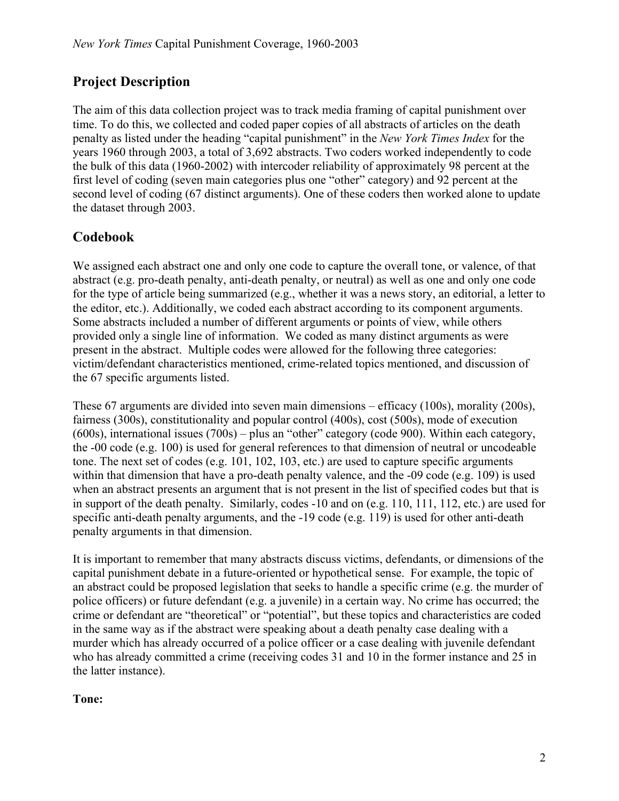# **Project Description**

The aim of this data collection project was to track media framing of capital punishment over time. To do this, we collected and coded paper copies of all abstracts of articles on the death penalty as listed under the heading "capital punishment" in the *New York Times Index* for the years 1960 through 2003, a total of 3,692 abstracts. Two coders worked independently to code the bulk of this data (1960-2002) with intercoder reliability of approximately 98 percent at the first level of coding (seven main categories plus one "other" category) and 92 percent at the second level of coding (67 distinct arguments). One of these coders then worked alone to update the dataset through 2003.

# **Codebook**

We assigned each abstract one and only one code to capture the overall tone, or valence, of that abstract (e.g. pro-death penalty, anti-death penalty, or neutral) as well as one and only one code for the type of article being summarized (e.g., whether it was a news story, an editorial, a letter to the editor, etc.). Additionally, we coded each abstract according to its component arguments. Some abstracts included a number of different arguments or points of view, while others provided only a single line of information. We coded as many distinct arguments as were present in the abstract. Multiple codes were allowed for the following three categories: victim/defendant characteristics mentioned, crime-related topics mentioned, and discussion of the 67 specific arguments listed.

These 67 arguments are divided into seven main dimensions – efficacy (100s), morality (200s), fairness (300s), constitutionality and popular control (400s), cost (500s), mode of execution (600s), international issues (700s) – plus an "other" category (code 900). Within each category, the -00 code (e.g. 100) is used for general references to that dimension of neutral or uncodeable tone. The next set of codes (e.g. 101, 102, 103, etc.) are used to capture specific arguments within that dimension that have a pro-death penalty valence, and the -09 code (e.g. 109) is used when an abstract presents an argument that is not present in the list of specified codes but that is in support of the death penalty. Similarly, codes -10 and on (e.g. 110, 111, 112, etc.) are used for specific anti-death penalty arguments, and the -19 code (e.g. 119) is used for other anti-death penalty arguments in that dimension.

It is important to remember that many abstracts discuss victims, defendants, or dimensions of the capital punishment debate in a future-oriented or hypothetical sense. For example, the topic of an abstract could be proposed legislation that seeks to handle a specific crime (e.g. the murder of police officers) or future defendant (e.g. a juvenile) in a certain way. No crime has occurred; the crime or defendant are "theoretical" or "potential", but these topics and characteristics are coded in the same way as if the abstract were speaking about a death penalty case dealing with a murder which has already occurred of a police officer or a case dealing with juvenile defendant who has already committed a crime (receiving codes 31 and 10 in the former instance and 25 in the latter instance).

### **Tone:**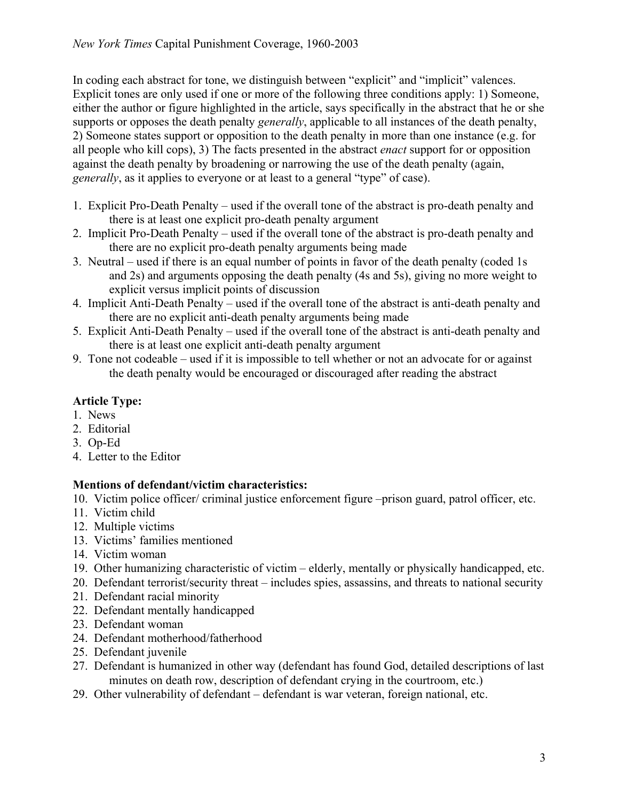In coding each abstract for tone, we distinguish between "explicit" and "implicit" valences. Explicit tones are only used if one or more of the following three conditions apply: 1) Someone, either the author or figure highlighted in the article, says specifically in the abstract that he or she supports or opposes the death penalty *generally*, applicable to all instances of the death penalty, 2) Someone states support or opposition to the death penalty in more than one instance (e.g. for all people who kill cops), 3) The facts presented in the abstract *enact* support for or opposition against the death penalty by broadening or narrowing the use of the death penalty (again, *generally*, as it applies to everyone or at least to a general "type" of case).

- 1. Explicit Pro-Death Penalty used if the overall tone of the abstract is pro-death penalty and there is at least one explicit pro-death penalty argument
- 2. Implicit Pro-Death Penalty used if the overall tone of the abstract is pro-death penalty and there are no explicit pro-death penalty arguments being made
- 3. Neutral used if there is an equal number of points in favor of the death penalty (coded 1s and 2s) and arguments opposing the death penalty (4s and 5s), giving no more weight to explicit versus implicit points of discussion
- 4. Implicit Anti-Death Penalty used if the overall tone of the abstract is anti-death penalty and there are no explicit anti-death penalty arguments being made
- 5. Explicit Anti-Death Penalty used if the overall tone of the abstract is anti-death penalty and there is at least one explicit anti-death penalty argument
- 9. Tone not codeable used if it is impossible to tell whether or not an advocate for or against the death penalty would be encouraged or discouraged after reading the abstract

## **Article Type:**

- 1. News
- 2. Editorial
- 3. Op-Ed
- 4. Letter to the Editor

## **Mentions of defendant/victim characteristics:**

- 10. Victim police officer/ criminal justice enforcement figure –prison guard, patrol officer, etc.
- 11. Victim child
- 12. Multiple victims
- 13. Victims' families mentioned
- 14. Victim woman
- 19. Other humanizing characteristic of victim elderly, mentally or physically handicapped, etc.
- 20. Defendant terrorist/security threat includes spies, assassins, and threats to national security
- 21. Defendant racial minority
- 22. Defendant mentally handicapped
- 23. Defendant woman
- 24. Defendant motherhood/fatherhood
- 25. Defendant juvenile
- 27. Defendant is humanized in other way (defendant has found God, detailed descriptions of last minutes on death row, description of defendant crying in the courtroom, etc.)
- 29. Other vulnerability of defendant defendant is war veteran, foreign national, etc.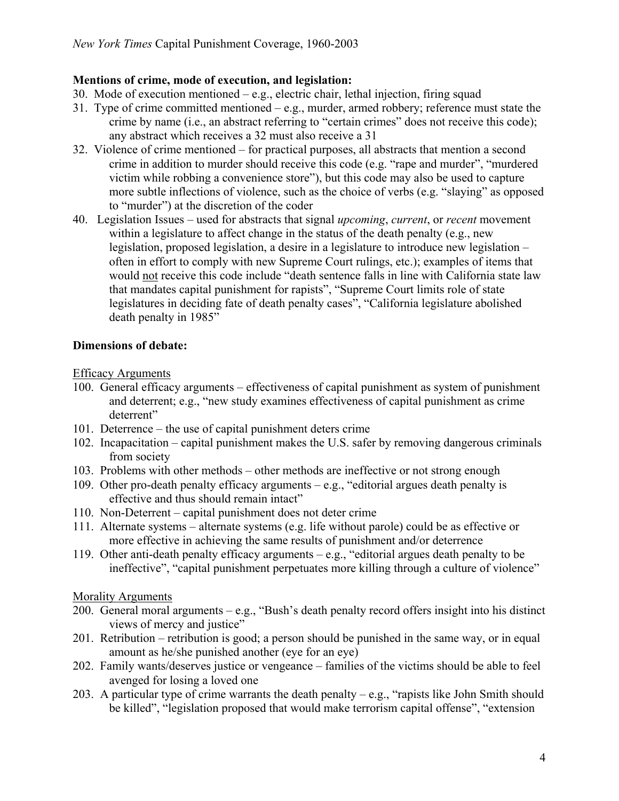#### **Mentions of crime, mode of execution, and legislation:**

- 30. Mode of execution mentioned e.g., electric chair, lethal injection, firing squad
- 31. Type of crime committed mentioned e.g., murder, armed robbery; reference must state the crime by name (i.e., an abstract referring to "certain crimes" does not receive this code); any abstract which receives a 32 must also receive a 31
- 32. Violence of crime mentioned for practical purposes, all abstracts that mention a second crime in addition to murder should receive this code (e.g. "rape and murder", "murdered victim while robbing a convenience store"), but this code may also be used to capture more subtle inflections of violence, such as the choice of verbs (e.g. "slaying" as opposed to "murder") at the discretion of the coder
- 40. Legislation Issues used for abstracts that signal *upcoming*, *current*, or *recent* movement within a legislature to affect change in the status of the death penalty (e.g., new legislation, proposed legislation, a desire in a legislature to introduce new legislation – often in effort to comply with new Supreme Court rulings, etc.); examples of items that would not receive this code include "death sentence falls in line with California state law that mandates capital punishment for rapists", "Supreme Court limits role of state legislatures in deciding fate of death penalty cases", "California legislature abolished death penalty in 1985"

### **Dimensions of debate:**

#### Efficacy Arguments

- 100. General efficacy arguments effectiveness of capital punishment as system of punishment and deterrent; e.g., "new study examines effectiveness of capital punishment as crime deterrent"
- 101. Deterrence the use of capital punishment deters crime
- 102. Incapacitation capital punishment makes the U.S. safer by removing dangerous criminals from society
- 103. Problems with other methods other methods are ineffective or not strong enough
- 109. Other pro-death penalty efficacy arguments e.g., "editorial argues death penalty is effective and thus should remain intact"
- 110. Non-Deterrent capital punishment does not deter crime
- 111. Alternate systems alternate systems (e.g. life without parole) could be as effective or more effective in achieving the same results of punishment and/or deterrence
- 119. Other anti-death penalty efficacy arguments e.g., "editorial argues death penalty to be ineffective", "capital punishment perpetuates more killing through a culture of violence"

#### Morality Arguments

- 200. General moral arguments e.g., "Bush's death penalty record offers insight into his distinct views of mercy and justice"
- 201. Retribution retribution is good; a person should be punished in the same way, or in equal amount as he/she punished another (eye for an eye)
- 202. Family wants/deserves justice or vengeance families of the victims should be able to feel avenged for losing a loved one
- 203. A particular type of crime warrants the death penalty  $-e.g.,$  "rapists like John Smith should be killed", "legislation proposed that would make terrorism capital offense", "extension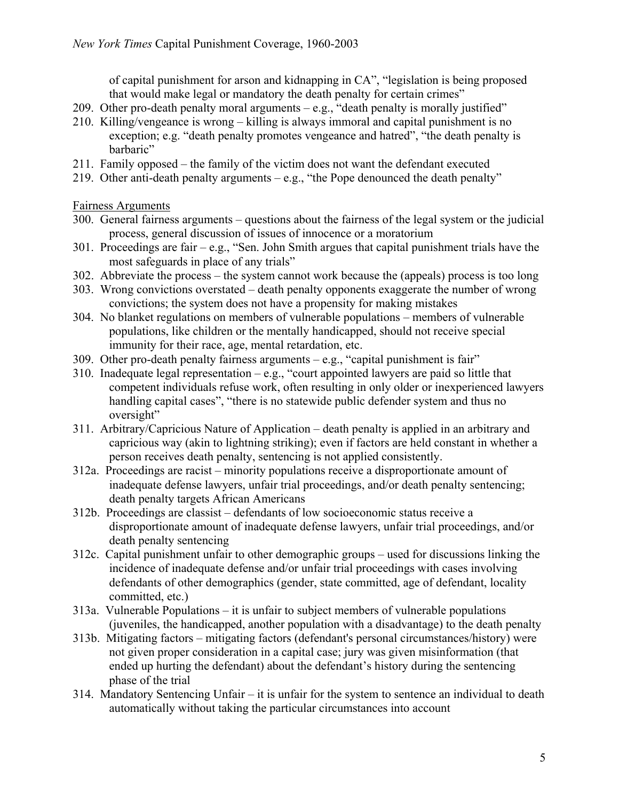of capital punishment for arson and kidnapping in CA", "legislation is being proposed that would make legal or mandatory the death penalty for certain crimes"

- 209. Other pro-death penalty moral arguments  $-e.g.,$  "death penalty is morally justified"
- 210. Killing/vengeance is wrong killing is always immoral and capital punishment is no exception; e.g. "death penalty promotes vengeance and hatred", "the death penalty is barbaric"
- 211. Family opposed the family of the victim does not want the defendant executed
- 219. Other anti-death penalty arguments e.g., "the Pope denounced the death penalty"

Fairness Arguments

- 300. General fairness arguments questions about the fairness of the legal system or the judicial process, general discussion of issues of innocence or a moratorium
- 301. Proceedings are fair e.g., "Sen. John Smith argues that capital punishment trials have the most safeguards in place of any trials"
- 302. Abbreviate the process the system cannot work because the (appeals) process is too long
- 303. Wrong convictions overstated death penalty opponents exaggerate the number of wrong convictions; the system does not have a propensity for making mistakes
- 304. No blanket regulations on members of vulnerable populations members of vulnerable populations, like children or the mentally handicapped, should not receive special immunity for their race, age, mental retardation, etc.
- 309. Other pro-death penalty fairness arguments e.g., "capital punishment is fair"
- 310. Inadequate legal representation e.g., "court appointed lawyers are paid so little that competent individuals refuse work, often resulting in only older or inexperienced lawyers handling capital cases", "there is no statewide public defender system and thus no oversight"
- 311. Arbitrary/Capricious Nature of Application death penalty is applied in an arbitrary and capricious way (akin to lightning striking); even if factors are held constant in whether a person receives death penalty, sentencing is not applied consistently.
- 312a. Proceedings are racist minority populations receive a disproportionate amount of inadequate defense lawyers, unfair trial proceedings, and/or death penalty sentencing; death penalty targets African Americans
- 312b. Proceedings are classist defendants of low socioeconomic status receive a disproportionate amount of inadequate defense lawyers, unfair trial proceedings, and/or death penalty sentencing
- 312c. Capital punishment unfair to other demographic groups used for discussions linking the incidence of inadequate defense and/or unfair trial proceedings with cases involving defendants of other demographics (gender, state committed, age of defendant, locality committed, etc.)
- 313a. Vulnerable Populations it is unfair to subject members of vulnerable populations (juveniles, the handicapped, another population with a disadvantage) to the death penalty
- 313b. Mitigating factors mitigating factors (defendant's personal circumstances/history) were not given proper consideration in a capital case; jury was given misinformation (that ended up hurting the defendant) about the defendant's history during the sentencing phase of the trial
- 314. Mandatory Sentencing Unfair it is unfair for the system to sentence an individual to death automatically without taking the particular circumstances into account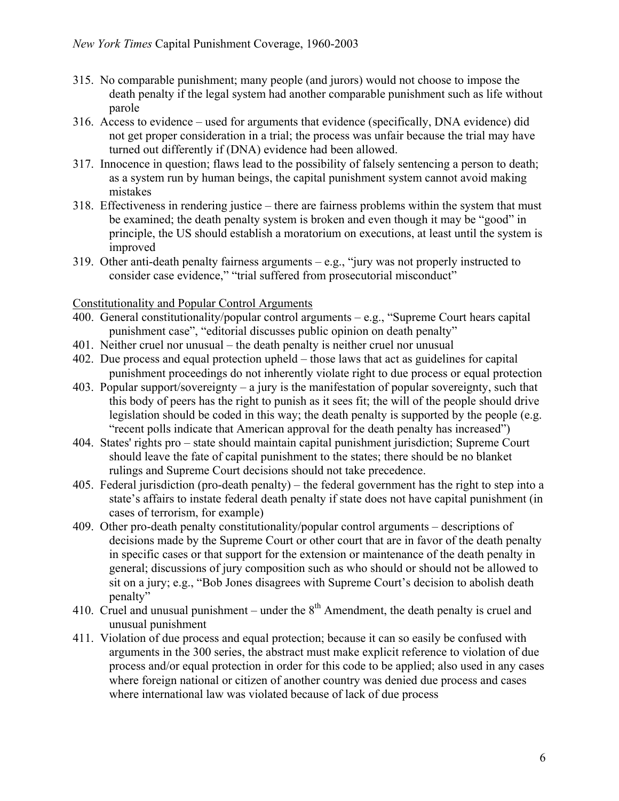- 315. No comparable punishment; many people (and jurors) would not choose to impose the death penalty if the legal system had another comparable punishment such as life without parole
- 316. Access to evidence used for arguments that evidence (specifically, DNA evidence) did not get proper consideration in a trial; the process was unfair because the trial may have turned out differently if (DNA) evidence had been allowed.
- 317. Innocence in question; flaws lead to the possibility of falsely sentencing a person to death; as a system run by human beings, the capital punishment system cannot avoid making mistakes
- 318. Effectiveness in rendering justice there are fairness problems within the system that must be examined; the death penalty system is broken and even though it may be "good" in principle, the US should establish a moratorium on executions, at least until the system is improved
- 319. Other anti-death penalty fairness arguments e.g., "jury was not properly instructed to consider case evidence," "trial suffered from prosecutorial misconduct"

#### Constitutionality and Popular Control Arguments

- 400. General constitutionality/popular control arguments e.g., "Supreme Court hears capital punishment case", "editorial discusses public opinion on death penalty"
- 401. Neither cruel nor unusual the death penalty is neither cruel nor unusual
- 402. Due process and equal protection upheld those laws that act as guidelines for capital punishment proceedings do not inherently violate right to due process or equal protection
- 403. Popular support/sovereignty a jury is the manifestation of popular sovereignty, such that this body of peers has the right to punish as it sees fit; the will of the people should drive legislation should be coded in this way; the death penalty is supported by the people (e.g. "recent polls indicate that American approval for the death penalty has increased")
- 404. States' rights pro state should maintain capital punishment jurisdiction; Supreme Court should leave the fate of capital punishment to the states; there should be no blanket rulings and Supreme Court decisions should not take precedence.
- 405. Federal jurisdiction (pro-death penalty) the federal government has the right to step into a state's affairs to instate federal death penalty if state does not have capital punishment (in cases of terrorism, for example)
- 409. Other pro-death penalty constitutionality/popular control arguments descriptions of decisions made by the Supreme Court or other court that are in favor of the death penalty in specific cases or that support for the extension or maintenance of the death penalty in general; discussions of jury composition such as who should or should not be allowed to sit on a jury; e.g., "Bob Jones disagrees with Supreme Court's decision to abolish death penalty"
- 410. Cruel and unusual punishment under the  $8<sup>th</sup>$  Amendment, the death penalty is cruel and unusual punishment
- 411. Violation of due process and equal protection; because it can so easily be confused with arguments in the 300 series, the abstract must make explicit reference to violation of due process and/or equal protection in order for this code to be applied; also used in any cases where foreign national or citizen of another country was denied due process and cases where international law was violated because of lack of due process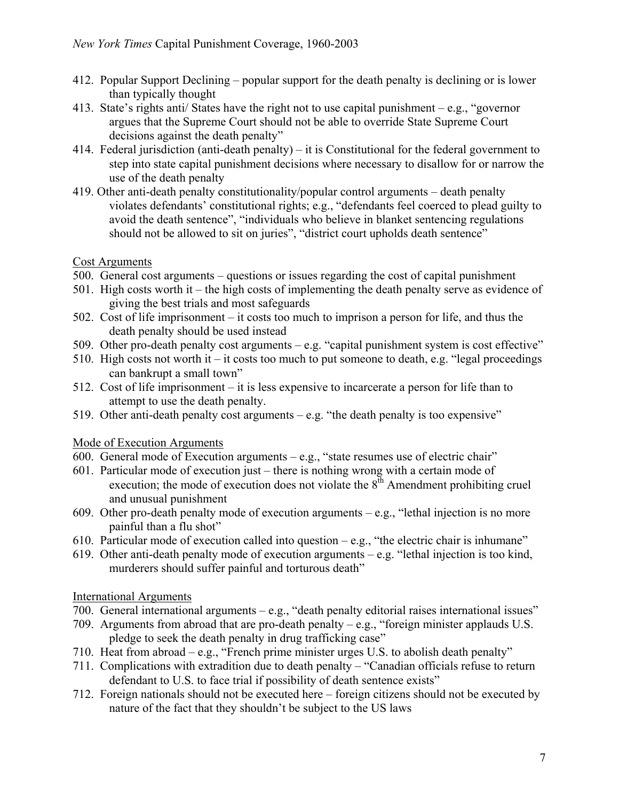- 412. Popular Support Declining popular support for the death penalty is declining or is lower than typically thought
- 413. State's rights anti/ States have the right not to use capital punishment e.g., "governor argues that the Supreme Court should not be able to override State Supreme Court decisions against the death penalty"
- 414. Federal jurisdiction (anti-death penalty) it is Constitutional for the federal government to step into state capital punishment decisions where necessary to disallow for or narrow the use of the death penalty
- 419. Other anti-death penalty constitutionality/popular control arguments death penalty violates defendants' constitutional rights; e.g., "defendants feel coerced to plead guilty to avoid the death sentence", "individuals who believe in blanket sentencing regulations should not be allowed to sit on juries", "district court upholds death sentence"

#### Cost Arguments

- 500. General cost arguments questions or issues regarding the cost of capital punishment
- 501. High costs worth it the high costs of implementing the death penalty serve as evidence of giving the best trials and most safeguards
- 502. Cost of life imprisonment it costs too much to imprison a person for life, and thus the death penalty should be used instead
- 509. Other pro-death penalty cost arguments e.g. "capital punishment system is cost effective"
- 510. High costs not worth it it costs too much to put someone to death, e.g. "legal proceedings" can bankrupt a small town"
- 512. Cost of life imprisonment it is less expensive to incarcerate a person for life than to attempt to use the death penalty.
- 519. Other anti-death penalty cost arguments  $-$  e.g. "the death penalty is too expensive"

### Mode of Execution Arguments

- 600. General mode of Execution arguments e.g., "state resumes use of electric chair"
- 601. Particular mode of execution just there is nothing wrong with a certain mode of execution; the mode of execution does not violate the  $8<sup>th</sup>$  Amendment prohibiting cruel and unusual punishment
- 609. Other pro-death penalty mode of execution arguments e.g., "lethal injection is no more painful than a flu shot"
- 610. Particular mode of execution called into question e.g., "the electric chair is inhumane"
- 619. Other anti-death penalty mode of execution arguments e.g. "lethal injection is too kind, murderers should suffer painful and torturous death"

### International Arguments

- 700. General international arguments e.g., "death penalty editorial raises international issues"
- 709. Arguments from abroad that are pro-death penalty e.g., "foreign minister applauds U.S. pledge to seek the death penalty in drug trafficking case"
- 710. Heat from abroad e.g., "French prime minister urges U.S. to abolish death penalty"
- 711. Complications with extradition due to death penalty "Canadian officials refuse to return defendant to U.S. to face trial if possibility of death sentence exists"
- 712. Foreign nationals should not be executed here foreign citizens should not be executed by nature of the fact that they shouldn't be subject to the US laws